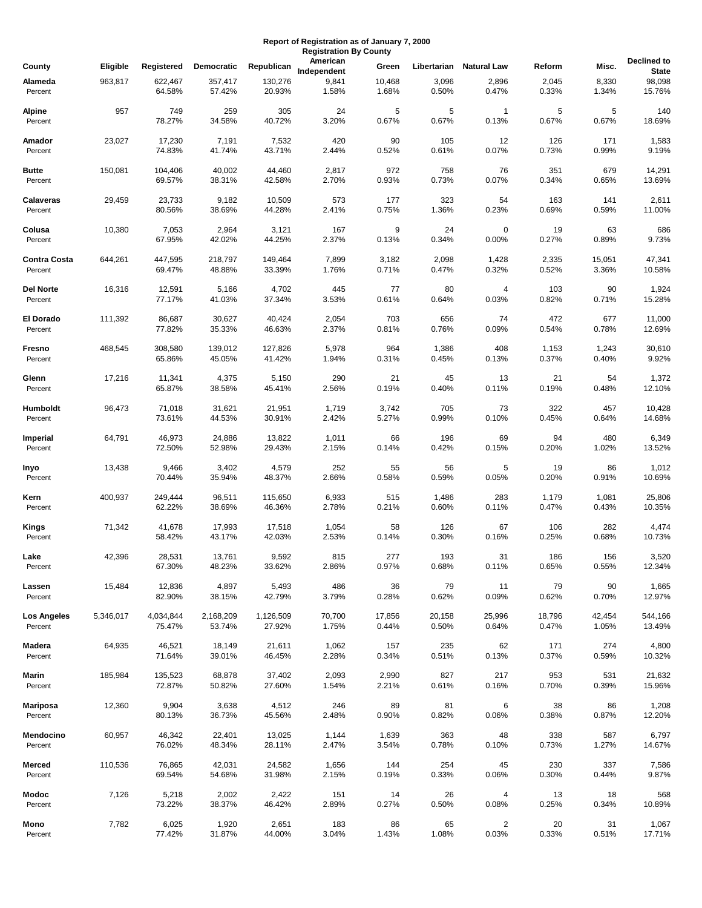## **Report of Registration as of January 7, 2000 Registration By County**

| 963,817<br>622,467<br>357,417<br>130,276<br>9,841<br>10,468<br>3,096<br>2,896<br>2,045<br>8,330<br>Alameda<br>64.58%<br>57.42%<br>20.93%<br>1.68%<br>0.50%<br>0.47%<br>0.33%<br>1.58%<br>1.34%<br>Percent<br>957<br>749<br>259<br>305<br>24<br>5<br>5<br>5<br>Alpine<br>5<br>$\mathbf{1}$<br>78.27%<br>34.58%<br>40.72%<br>3.20%<br>0.67%<br>0.67%<br>0.13%<br>0.67%<br>0.67%<br>Percent<br>23,027<br>17,230<br>7,191<br>7,532<br>420<br>90<br>105<br>12<br>126<br>171<br>Amador<br>74.83%<br>41.74%<br>43.71%<br>2.44%<br>0.52%<br>0.61%<br>0.07%<br>0.73%<br>0.99%<br>Percent<br>972<br>758<br>76<br>Butte<br>150,081<br>104,406<br>40,002<br>44,460<br>2,817<br>351<br>679<br>69.57%<br>38.31%<br>42.58%<br>2.70%<br>0.93%<br>0.73%<br>0.07%<br>0.34%<br>0.65%<br>Percent<br>Calaveras<br>29,459<br>23,733<br>9,182<br>10,509<br>573<br>177<br>323<br>163<br>141<br>54<br>80.56%<br>38.69%<br>44.28%<br>2.41%<br>0.75%<br>1.36%<br>0.23%<br>0.69%<br>0.59%<br>Percent<br>7,053<br>2,964<br>Colusa<br>10,380<br>3,121<br>167<br>9<br>24<br>0<br>19<br>63<br>67.95%<br>42.02%<br>44.25%<br>2.37%<br>0.13%<br>0.34%<br>0.00%<br>0.27%<br>0.89%<br>Percent<br>3,182<br>2,098<br>447,595<br>218,797<br>149,464<br>7,899<br>1,428<br>2,335<br>Contra Costa<br>644,261<br>15,051<br>69.47%<br>48.88%<br>33.39%<br>1.76%<br>0.71%<br>0.47%<br>0.32%<br>0.52%<br>3.36%<br>10.58%<br>Percent<br>16,316<br>12,591<br>5,166<br>4,702<br>445<br>103<br>Del Norte<br>77<br>80<br>4<br>90<br>0.03%<br>77.17%<br>41.03%<br>3.53%<br>0.61%<br>0.64%<br>0.82%<br>0.71%<br>37.34%<br>Percent<br>El Dorado<br>111,392<br>86,687<br>30,627<br>40,424<br>2,054<br>703<br>656<br>74<br>472<br>677<br>77.82%<br>35.33%<br>46.63%<br>2.37%<br>0.81%<br>0.76%<br>0.09%<br>0.54%<br>0.78%<br>Percent<br>964<br>468,545<br>308,580<br>139,012<br>127,826<br>5,978<br>1,386<br>408<br>1,243<br>Fresno<br>1,153<br>65.86%<br>1.94%<br>0.31%<br>0.45%<br>0.37%<br>0.40%<br>45.05%<br>41.42%<br>0.13%<br>Percent<br>290<br>21<br>17,216<br>11,341<br>4,375<br>5,150<br>21<br>45<br>13<br>54<br>Glenn<br>65.87%<br>38.58%<br>2.56%<br>0.19%<br>0.40%<br>0.11%<br>0.19%<br>0.48%<br>45.41%<br>Percent<br>96,473<br>71,018<br>31,621<br>21,951<br>1,719<br>3,742<br>705<br>73<br>322<br>Humboldt<br>457<br>2.42%<br>5.27%<br>73.61%<br>44.53%<br>30.91%<br>0.99%<br>0.10%<br>0.45%<br>0.64%<br>Percent<br>64,791<br>46,973<br>24,886<br>13,822<br>1,011<br>66<br>196<br>69<br>94<br>480<br>Imperial<br>72.50%<br>52.98%<br>1.02%<br>29.43%<br>2.15%<br>0.14%<br>0.42%<br>0.15%<br>0.20%<br>Percent<br>13,438<br>9,466<br>3,402<br>4,579<br>252<br>19<br>55<br>56<br>5<br>86<br>Inyo<br>70.44%<br>35.94%<br>48.37%<br>2.66%<br>0.58%<br>0.59%<br>0.05%<br>0.20%<br>0.91%<br>10.69%<br>Percent<br>400,937<br>249,444<br>96,511<br>6,933<br>1,486<br>283<br>Kern<br>115,650<br>515<br>1,179<br>1,081<br>2.78%<br>0.47%<br>0.43%<br>10.35%<br>62.22%<br>38.69%<br>46.36%<br>0.21%<br>0.60%<br>0.11%<br>Percent<br>Kings<br>71,342<br>41,678<br>17,993<br>17,518<br>1,054<br>58<br>126<br>67<br>106<br>282<br>58.42%<br>43.17%<br>42.03%<br>2.53%<br>0.14%<br>0.30%<br>0.16%<br>0.25%<br>0.68%<br>Percent<br>277<br>42,396<br>28,531<br>13,761<br>9,592<br>815<br>193<br>31<br>186<br>156<br>Lake<br>67.30%<br>48.23%<br>33.62%<br>0.97%<br>0.68%<br>0.65%<br>0.55%<br>2.86%<br>0.11%<br>Percent<br>12,836<br>4,897<br>486<br>15,484<br>5,493<br>36<br>79<br>79<br>90<br>Lassen<br>11<br>82.90%<br>38.15%<br>42.79%<br>3.79%<br>0.28%<br>0.62%<br>0.09%<br>0.62%<br>0.70%<br>Percent<br>4,034,844<br>2,168,209<br>70,700<br>17,856<br>20,158<br>25,996<br>18,796<br>42,454<br>Los Angeles<br>5,346,017<br>1,126,509<br>75.47%<br>53.74%<br>27.92%<br>1.75%<br>0.44%<br>0.50%<br>0.64%<br>0.47%<br>1.05%<br>13.49%<br>Percent<br>1,062<br>235<br>274<br>64,935<br>46,521<br>18,149<br>21,611<br>157<br>62<br>171<br>Madera<br>71.64%<br>39.01%<br>46.45%<br>2.28%<br>0.34%<br>0.51%<br>0.37%<br>0.59%<br>0.13%<br>Percent<br>68,878<br>2,093<br>2,990<br>827<br>953<br>Marin<br>185,984<br>135,523<br>37,402<br>217<br>531<br>21,632<br>72.87%<br>50.82%<br>27.60%<br>1.54%<br>2.21%<br>0.70%<br>0.39%<br>0.61%<br>0.16%<br>Percent<br>9,904<br>3,638<br>246<br>38<br>12,360<br>4,512<br>89<br>81<br>6<br>86<br>Mariposa<br>80.13%<br>36.73%<br>45.56%<br>2.48%<br>0.90%<br>0.82%<br>0.06%<br>0.38%<br>0.87%<br>Percent<br>60,957<br>46,342<br>22,401<br>13,025<br>1,144<br>1,639<br>363<br>48<br>338<br>587<br>Mendocino<br>76.02%<br>48.34%<br>28.11%<br>2.47%<br>3.54%<br>0.78%<br>0.10%<br>0.73%<br>1.27%<br>Percent<br>Merced<br>110,536<br>76,865<br>42,031<br>24,582<br>1,656<br>144<br>254<br>45<br>230<br>337<br>69.54%<br>54.68%<br>31.98%<br>2.15%<br>0.19%<br>0.33%<br>0.06%<br>0.30%<br>0.44%<br>Percent<br>7,126<br>5,218<br>2,002<br>Modoc<br>2,422<br>151<br>14<br>26<br>13<br>18<br>4<br>73.22%<br>38.37%<br>46.42%<br>2.89%<br>0.27%<br>0.50%<br>0.08%<br>0.25%<br>0.34%<br>Percent<br>7,782<br>6,025<br>183<br>86<br>$\overline{2}$<br>20<br>31<br>1,920<br>2,651<br>65<br>Mono | County  | Eligible | Registered | Democratic | Republican | American    | Green | Libertarian | Natural Law | Reform | Misc. | Declined to            |
|--------------------------------------------------------------------------------------------------------------------------------------------------------------------------------------------------------------------------------------------------------------------------------------------------------------------------------------------------------------------------------------------------------------------------------------------------------------------------------------------------------------------------------------------------------------------------------------------------------------------------------------------------------------------------------------------------------------------------------------------------------------------------------------------------------------------------------------------------------------------------------------------------------------------------------------------------------------------------------------------------------------------------------------------------------------------------------------------------------------------------------------------------------------------------------------------------------------------------------------------------------------------------------------------------------------------------------------------------------------------------------------------------------------------------------------------------------------------------------------------------------------------------------------------------------------------------------------------------------------------------------------------------------------------------------------------------------------------------------------------------------------------------------------------------------------------------------------------------------------------------------------------------------------------------------------------------------------------------------------------------------------------------------------------------------------------------------------------------------------------------------------------------------------------------------------------------------------------------------------------------------------------------------------------------------------------------------------------------------------------------------------------------------------------------------------------------------------------------------------------------------------------------------------------------------------------------------------------------------------------------------------------------------------------------------------------------------------------------------------------------------------------------------------------------------------------------------------------------------------------------------------------------------------------------------------------------------------------------------------------------------------------------------------------------------------------------------------------------------------------------------------------------------------------------------------------------------------------------------------------------------------------------------------------------------------------------------------------------------------------------------------------------------------------------------------------------------------------------------------------------------------------------------------------------------------------------------------------------------------------------------------------------------------------------------------------------------------------------------------------------------------------------------------------------------------------------------------------------------------------------------------------------------------------------------------------------------------------------------------------------------------------------------------------------------------------------------------------------------------------------------------------------------------------------------------------------------------------------------------------------------------------------------------------------------------------------------------------------------------------------------------------------------------------------------------------------------------------------------------------------------------------------------------------------------------------------------------------------------------------------------------------------------------------------------------------------------------------------------------------------------------------------------------------------------------------------------------------------------------------------------------------------------------------------------------------------------------------------------------------------------------------------------------------------------------|---------|----------|------------|------------|------------|-------------|-------|-------------|-------------|--------|-------|------------------------|
|                                                                                                                                                                                                                                                                                                                                                                                                                                                                                                                                                                                                                                                                                                                                                                                                                                                                                                                                                                                                                                                                                                                                                                                                                                                                                                                                                                                                                                                                                                                                                                                                                                                                                                                                                                                                                                                                                                                                                                                                                                                                                                                                                                                                                                                                                                                                                                                                                                                                                                                                                                                                                                                                                                                                                                                                                                                                                                                                                                                                                                                                                                                                                                                                                                                                                                                                                                                                                                                                                                                                                                                                                                                                                                                                                                                                                                                                                                                                                                                                                                                                                                                                                                                                                                                                                                                                                                                                                                                                                                                                                                                                                                                                                                                                                                                                                                                                                                                                                                                                                                                              |         |          |            |            |            | Independent |       |             |             |        |       | <b>State</b><br>98,098 |
|                                                                                                                                                                                                                                                                                                                                                                                                                                                                                                                                                                                                                                                                                                                                                                                                                                                                                                                                                                                                                                                                                                                                                                                                                                                                                                                                                                                                                                                                                                                                                                                                                                                                                                                                                                                                                                                                                                                                                                                                                                                                                                                                                                                                                                                                                                                                                                                                                                                                                                                                                                                                                                                                                                                                                                                                                                                                                                                                                                                                                                                                                                                                                                                                                                                                                                                                                                                                                                                                                                                                                                                                                                                                                                                                                                                                                                                                                                                                                                                                                                                                                                                                                                                                                                                                                                                                                                                                                                                                                                                                                                                                                                                                                                                                                                                                                                                                                                                                                                                                                                                              |         |          |            |            |            |             |       |             |             |        |       | 15.76%                 |
|                                                                                                                                                                                                                                                                                                                                                                                                                                                                                                                                                                                                                                                                                                                                                                                                                                                                                                                                                                                                                                                                                                                                                                                                                                                                                                                                                                                                                                                                                                                                                                                                                                                                                                                                                                                                                                                                                                                                                                                                                                                                                                                                                                                                                                                                                                                                                                                                                                                                                                                                                                                                                                                                                                                                                                                                                                                                                                                                                                                                                                                                                                                                                                                                                                                                                                                                                                                                                                                                                                                                                                                                                                                                                                                                                                                                                                                                                                                                                                                                                                                                                                                                                                                                                                                                                                                                                                                                                                                                                                                                                                                                                                                                                                                                                                                                                                                                                                                                                                                                                                                              |         |          |            |            |            |             |       |             |             |        |       | 140<br>18.69%          |
|                                                                                                                                                                                                                                                                                                                                                                                                                                                                                                                                                                                                                                                                                                                                                                                                                                                                                                                                                                                                                                                                                                                                                                                                                                                                                                                                                                                                                                                                                                                                                                                                                                                                                                                                                                                                                                                                                                                                                                                                                                                                                                                                                                                                                                                                                                                                                                                                                                                                                                                                                                                                                                                                                                                                                                                                                                                                                                                                                                                                                                                                                                                                                                                                                                                                                                                                                                                                                                                                                                                                                                                                                                                                                                                                                                                                                                                                                                                                                                                                                                                                                                                                                                                                                                                                                                                                                                                                                                                                                                                                                                                                                                                                                                                                                                                                                                                                                                                                                                                                                                                              |         |          |            |            |            |             |       |             |             |        |       | 1,583<br>9.19%         |
|                                                                                                                                                                                                                                                                                                                                                                                                                                                                                                                                                                                                                                                                                                                                                                                                                                                                                                                                                                                                                                                                                                                                                                                                                                                                                                                                                                                                                                                                                                                                                                                                                                                                                                                                                                                                                                                                                                                                                                                                                                                                                                                                                                                                                                                                                                                                                                                                                                                                                                                                                                                                                                                                                                                                                                                                                                                                                                                                                                                                                                                                                                                                                                                                                                                                                                                                                                                                                                                                                                                                                                                                                                                                                                                                                                                                                                                                                                                                                                                                                                                                                                                                                                                                                                                                                                                                                                                                                                                                                                                                                                                                                                                                                                                                                                                                                                                                                                                                                                                                                                                              |         |          |            |            |            |             |       |             |             |        |       | 14,291<br>13.69%       |
|                                                                                                                                                                                                                                                                                                                                                                                                                                                                                                                                                                                                                                                                                                                                                                                                                                                                                                                                                                                                                                                                                                                                                                                                                                                                                                                                                                                                                                                                                                                                                                                                                                                                                                                                                                                                                                                                                                                                                                                                                                                                                                                                                                                                                                                                                                                                                                                                                                                                                                                                                                                                                                                                                                                                                                                                                                                                                                                                                                                                                                                                                                                                                                                                                                                                                                                                                                                                                                                                                                                                                                                                                                                                                                                                                                                                                                                                                                                                                                                                                                                                                                                                                                                                                                                                                                                                                                                                                                                                                                                                                                                                                                                                                                                                                                                                                                                                                                                                                                                                                                                              |         |          |            |            |            |             |       |             |             |        |       | 2,611<br>11.00%        |
|                                                                                                                                                                                                                                                                                                                                                                                                                                                                                                                                                                                                                                                                                                                                                                                                                                                                                                                                                                                                                                                                                                                                                                                                                                                                                                                                                                                                                                                                                                                                                                                                                                                                                                                                                                                                                                                                                                                                                                                                                                                                                                                                                                                                                                                                                                                                                                                                                                                                                                                                                                                                                                                                                                                                                                                                                                                                                                                                                                                                                                                                                                                                                                                                                                                                                                                                                                                                                                                                                                                                                                                                                                                                                                                                                                                                                                                                                                                                                                                                                                                                                                                                                                                                                                                                                                                                                                                                                                                                                                                                                                                                                                                                                                                                                                                                                                                                                                                                                                                                                                                              |         |          |            |            |            |             |       |             |             |        |       | 686<br>9.73%           |
|                                                                                                                                                                                                                                                                                                                                                                                                                                                                                                                                                                                                                                                                                                                                                                                                                                                                                                                                                                                                                                                                                                                                                                                                                                                                                                                                                                                                                                                                                                                                                                                                                                                                                                                                                                                                                                                                                                                                                                                                                                                                                                                                                                                                                                                                                                                                                                                                                                                                                                                                                                                                                                                                                                                                                                                                                                                                                                                                                                                                                                                                                                                                                                                                                                                                                                                                                                                                                                                                                                                                                                                                                                                                                                                                                                                                                                                                                                                                                                                                                                                                                                                                                                                                                                                                                                                                                                                                                                                                                                                                                                                                                                                                                                                                                                                                                                                                                                                                                                                                                                                              |         |          |            |            |            |             |       |             |             |        |       | 47,341                 |
|                                                                                                                                                                                                                                                                                                                                                                                                                                                                                                                                                                                                                                                                                                                                                                                                                                                                                                                                                                                                                                                                                                                                                                                                                                                                                                                                                                                                                                                                                                                                                                                                                                                                                                                                                                                                                                                                                                                                                                                                                                                                                                                                                                                                                                                                                                                                                                                                                                                                                                                                                                                                                                                                                                                                                                                                                                                                                                                                                                                                                                                                                                                                                                                                                                                                                                                                                                                                                                                                                                                                                                                                                                                                                                                                                                                                                                                                                                                                                                                                                                                                                                                                                                                                                                                                                                                                                                                                                                                                                                                                                                                                                                                                                                                                                                                                                                                                                                                                                                                                                                                              |         |          |            |            |            |             |       |             |             |        |       | 1,924                  |
|                                                                                                                                                                                                                                                                                                                                                                                                                                                                                                                                                                                                                                                                                                                                                                                                                                                                                                                                                                                                                                                                                                                                                                                                                                                                                                                                                                                                                                                                                                                                                                                                                                                                                                                                                                                                                                                                                                                                                                                                                                                                                                                                                                                                                                                                                                                                                                                                                                                                                                                                                                                                                                                                                                                                                                                                                                                                                                                                                                                                                                                                                                                                                                                                                                                                                                                                                                                                                                                                                                                                                                                                                                                                                                                                                                                                                                                                                                                                                                                                                                                                                                                                                                                                                                                                                                                                                                                                                                                                                                                                                                                                                                                                                                                                                                                                                                                                                                                                                                                                                                                              |         |          |            |            |            |             |       |             |             |        |       | 15.28%                 |
|                                                                                                                                                                                                                                                                                                                                                                                                                                                                                                                                                                                                                                                                                                                                                                                                                                                                                                                                                                                                                                                                                                                                                                                                                                                                                                                                                                                                                                                                                                                                                                                                                                                                                                                                                                                                                                                                                                                                                                                                                                                                                                                                                                                                                                                                                                                                                                                                                                                                                                                                                                                                                                                                                                                                                                                                                                                                                                                                                                                                                                                                                                                                                                                                                                                                                                                                                                                                                                                                                                                                                                                                                                                                                                                                                                                                                                                                                                                                                                                                                                                                                                                                                                                                                                                                                                                                                                                                                                                                                                                                                                                                                                                                                                                                                                                                                                                                                                                                                                                                                                                              |         |          |            |            |            |             |       |             |             |        |       | 11,000<br>12.69%       |
|                                                                                                                                                                                                                                                                                                                                                                                                                                                                                                                                                                                                                                                                                                                                                                                                                                                                                                                                                                                                                                                                                                                                                                                                                                                                                                                                                                                                                                                                                                                                                                                                                                                                                                                                                                                                                                                                                                                                                                                                                                                                                                                                                                                                                                                                                                                                                                                                                                                                                                                                                                                                                                                                                                                                                                                                                                                                                                                                                                                                                                                                                                                                                                                                                                                                                                                                                                                                                                                                                                                                                                                                                                                                                                                                                                                                                                                                                                                                                                                                                                                                                                                                                                                                                                                                                                                                                                                                                                                                                                                                                                                                                                                                                                                                                                                                                                                                                                                                                                                                                                                              |         |          |            |            |            |             |       |             |             |        |       | 30,610<br>9.92%        |
|                                                                                                                                                                                                                                                                                                                                                                                                                                                                                                                                                                                                                                                                                                                                                                                                                                                                                                                                                                                                                                                                                                                                                                                                                                                                                                                                                                                                                                                                                                                                                                                                                                                                                                                                                                                                                                                                                                                                                                                                                                                                                                                                                                                                                                                                                                                                                                                                                                                                                                                                                                                                                                                                                                                                                                                                                                                                                                                                                                                                                                                                                                                                                                                                                                                                                                                                                                                                                                                                                                                                                                                                                                                                                                                                                                                                                                                                                                                                                                                                                                                                                                                                                                                                                                                                                                                                                                                                                                                                                                                                                                                                                                                                                                                                                                                                                                                                                                                                                                                                                                                              |         |          |            |            |            |             |       |             |             |        |       | 1,372<br>12.10%        |
|                                                                                                                                                                                                                                                                                                                                                                                                                                                                                                                                                                                                                                                                                                                                                                                                                                                                                                                                                                                                                                                                                                                                                                                                                                                                                                                                                                                                                                                                                                                                                                                                                                                                                                                                                                                                                                                                                                                                                                                                                                                                                                                                                                                                                                                                                                                                                                                                                                                                                                                                                                                                                                                                                                                                                                                                                                                                                                                                                                                                                                                                                                                                                                                                                                                                                                                                                                                                                                                                                                                                                                                                                                                                                                                                                                                                                                                                                                                                                                                                                                                                                                                                                                                                                                                                                                                                                                                                                                                                                                                                                                                                                                                                                                                                                                                                                                                                                                                                                                                                                                                              |         |          |            |            |            |             |       |             |             |        |       | 10,428<br>14.68%       |
|                                                                                                                                                                                                                                                                                                                                                                                                                                                                                                                                                                                                                                                                                                                                                                                                                                                                                                                                                                                                                                                                                                                                                                                                                                                                                                                                                                                                                                                                                                                                                                                                                                                                                                                                                                                                                                                                                                                                                                                                                                                                                                                                                                                                                                                                                                                                                                                                                                                                                                                                                                                                                                                                                                                                                                                                                                                                                                                                                                                                                                                                                                                                                                                                                                                                                                                                                                                                                                                                                                                                                                                                                                                                                                                                                                                                                                                                                                                                                                                                                                                                                                                                                                                                                                                                                                                                                                                                                                                                                                                                                                                                                                                                                                                                                                                                                                                                                                                                                                                                                                                              |         |          |            |            |            |             |       |             |             |        |       | 6,349<br>13.52%        |
|                                                                                                                                                                                                                                                                                                                                                                                                                                                                                                                                                                                                                                                                                                                                                                                                                                                                                                                                                                                                                                                                                                                                                                                                                                                                                                                                                                                                                                                                                                                                                                                                                                                                                                                                                                                                                                                                                                                                                                                                                                                                                                                                                                                                                                                                                                                                                                                                                                                                                                                                                                                                                                                                                                                                                                                                                                                                                                                                                                                                                                                                                                                                                                                                                                                                                                                                                                                                                                                                                                                                                                                                                                                                                                                                                                                                                                                                                                                                                                                                                                                                                                                                                                                                                                                                                                                                                                                                                                                                                                                                                                                                                                                                                                                                                                                                                                                                                                                                                                                                                                                              |         |          |            |            |            |             |       |             |             |        |       | 1,012                  |
|                                                                                                                                                                                                                                                                                                                                                                                                                                                                                                                                                                                                                                                                                                                                                                                                                                                                                                                                                                                                                                                                                                                                                                                                                                                                                                                                                                                                                                                                                                                                                                                                                                                                                                                                                                                                                                                                                                                                                                                                                                                                                                                                                                                                                                                                                                                                                                                                                                                                                                                                                                                                                                                                                                                                                                                                                                                                                                                                                                                                                                                                                                                                                                                                                                                                                                                                                                                                                                                                                                                                                                                                                                                                                                                                                                                                                                                                                                                                                                                                                                                                                                                                                                                                                                                                                                                                                                                                                                                                                                                                                                                                                                                                                                                                                                                                                                                                                                                                                                                                                                                              |         |          |            |            |            |             |       |             |             |        |       | 25,806                 |
|                                                                                                                                                                                                                                                                                                                                                                                                                                                                                                                                                                                                                                                                                                                                                                                                                                                                                                                                                                                                                                                                                                                                                                                                                                                                                                                                                                                                                                                                                                                                                                                                                                                                                                                                                                                                                                                                                                                                                                                                                                                                                                                                                                                                                                                                                                                                                                                                                                                                                                                                                                                                                                                                                                                                                                                                                                                                                                                                                                                                                                                                                                                                                                                                                                                                                                                                                                                                                                                                                                                                                                                                                                                                                                                                                                                                                                                                                                                                                                                                                                                                                                                                                                                                                                                                                                                                                                                                                                                                                                                                                                                                                                                                                                                                                                                                                                                                                                                                                                                                                                                              |         |          |            |            |            |             |       |             |             |        |       |                        |
|                                                                                                                                                                                                                                                                                                                                                                                                                                                                                                                                                                                                                                                                                                                                                                                                                                                                                                                                                                                                                                                                                                                                                                                                                                                                                                                                                                                                                                                                                                                                                                                                                                                                                                                                                                                                                                                                                                                                                                                                                                                                                                                                                                                                                                                                                                                                                                                                                                                                                                                                                                                                                                                                                                                                                                                                                                                                                                                                                                                                                                                                                                                                                                                                                                                                                                                                                                                                                                                                                                                                                                                                                                                                                                                                                                                                                                                                                                                                                                                                                                                                                                                                                                                                                                                                                                                                                                                                                                                                                                                                                                                                                                                                                                                                                                                                                                                                                                                                                                                                                                                              |         |          |            |            |            |             |       |             |             |        |       | 4,474<br>10.73%        |
|                                                                                                                                                                                                                                                                                                                                                                                                                                                                                                                                                                                                                                                                                                                                                                                                                                                                                                                                                                                                                                                                                                                                                                                                                                                                                                                                                                                                                                                                                                                                                                                                                                                                                                                                                                                                                                                                                                                                                                                                                                                                                                                                                                                                                                                                                                                                                                                                                                                                                                                                                                                                                                                                                                                                                                                                                                                                                                                                                                                                                                                                                                                                                                                                                                                                                                                                                                                                                                                                                                                                                                                                                                                                                                                                                                                                                                                                                                                                                                                                                                                                                                                                                                                                                                                                                                                                                                                                                                                                                                                                                                                                                                                                                                                                                                                                                                                                                                                                                                                                                                                              |         |          |            |            |            |             |       |             |             |        |       | 3,520<br>12.34%        |
|                                                                                                                                                                                                                                                                                                                                                                                                                                                                                                                                                                                                                                                                                                                                                                                                                                                                                                                                                                                                                                                                                                                                                                                                                                                                                                                                                                                                                                                                                                                                                                                                                                                                                                                                                                                                                                                                                                                                                                                                                                                                                                                                                                                                                                                                                                                                                                                                                                                                                                                                                                                                                                                                                                                                                                                                                                                                                                                                                                                                                                                                                                                                                                                                                                                                                                                                                                                                                                                                                                                                                                                                                                                                                                                                                                                                                                                                                                                                                                                                                                                                                                                                                                                                                                                                                                                                                                                                                                                                                                                                                                                                                                                                                                                                                                                                                                                                                                                                                                                                                                                              |         |          |            |            |            |             |       |             |             |        |       | 1,665<br>12.97%        |
|                                                                                                                                                                                                                                                                                                                                                                                                                                                                                                                                                                                                                                                                                                                                                                                                                                                                                                                                                                                                                                                                                                                                                                                                                                                                                                                                                                                                                                                                                                                                                                                                                                                                                                                                                                                                                                                                                                                                                                                                                                                                                                                                                                                                                                                                                                                                                                                                                                                                                                                                                                                                                                                                                                                                                                                                                                                                                                                                                                                                                                                                                                                                                                                                                                                                                                                                                                                                                                                                                                                                                                                                                                                                                                                                                                                                                                                                                                                                                                                                                                                                                                                                                                                                                                                                                                                                                                                                                                                                                                                                                                                                                                                                                                                                                                                                                                                                                                                                                                                                                                                              |         |          |            |            |            |             |       |             |             |        |       | 544,166                |
|                                                                                                                                                                                                                                                                                                                                                                                                                                                                                                                                                                                                                                                                                                                                                                                                                                                                                                                                                                                                                                                                                                                                                                                                                                                                                                                                                                                                                                                                                                                                                                                                                                                                                                                                                                                                                                                                                                                                                                                                                                                                                                                                                                                                                                                                                                                                                                                                                                                                                                                                                                                                                                                                                                                                                                                                                                                                                                                                                                                                                                                                                                                                                                                                                                                                                                                                                                                                                                                                                                                                                                                                                                                                                                                                                                                                                                                                                                                                                                                                                                                                                                                                                                                                                                                                                                                                                                                                                                                                                                                                                                                                                                                                                                                                                                                                                                                                                                                                                                                                                                                              |         |          |            |            |            |             |       |             |             |        |       | 4,800                  |
|                                                                                                                                                                                                                                                                                                                                                                                                                                                                                                                                                                                                                                                                                                                                                                                                                                                                                                                                                                                                                                                                                                                                                                                                                                                                                                                                                                                                                                                                                                                                                                                                                                                                                                                                                                                                                                                                                                                                                                                                                                                                                                                                                                                                                                                                                                                                                                                                                                                                                                                                                                                                                                                                                                                                                                                                                                                                                                                                                                                                                                                                                                                                                                                                                                                                                                                                                                                                                                                                                                                                                                                                                                                                                                                                                                                                                                                                                                                                                                                                                                                                                                                                                                                                                                                                                                                                                                                                                                                                                                                                                                                                                                                                                                                                                                                                                                                                                                                                                                                                                                                              |         |          |            |            |            |             |       |             |             |        |       | 10.32%                 |
|                                                                                                                                                                                                                                                                                                                                                                                                                                                                                                                                                                                                                                                                                                                                                                                                                                                                                                                                                                                                                                                                                                                                                                                                                                                                                                                                                                                                                                                                                                                                                                                                                                                                                                                                                                                                                                                                                                                                                                                                                                                                                                                                                                                                                                                                                                                                                                                                                                                                                                                                                                                                                                                                                                                                                                                                                                                                                                                                                                                                                                                                                                                                                                                                                                                                                                                                                                                                                                                                                                                                                                                                                                                                                                                                                                                                                                                                                                                                                                                                                                                                                                                                                                                                                                                                                                                                                                                                                                                                                                                                                                                                                                                                                                                                                                                                                                                                                                                                                                                                                                                              |         |          |            |            |            |             |       |             |             |        |       | 15.96%                 |
|                                                                                                                                                                                                                                                                                                                                                                                                                                                                                                                                                                                                                                                                                                                                                                                                                                                                                                                                                                                                                                                                                                                                                                                                                                                                                                                                                                                                                                                                                                                                                                                                                                                                                                                                                                                                                                                                                                                                                                                                                                                                                                                                                                                                                                                                                                                                                                                                                                                                                                                                                                                                                                                                                                                                                                                                                                                                                                                                                                                                                                                                                                                                                                                                                                                                                                                                                                                                                                                                                                                                                                                                                                                                                                                                                                                                                                                                                                                                                                                                                                                                                                                                                                                                                                                                                                                                                                                                                                                                                                                                                                                                                                                                                                                                                                                                                                                                                                                                                                                                                                                              |         |          |            |            |            |             |       |             |             |        |       | 1,208<br>12.20%        |
|                                                                                                                                                                                                                                                                                                                                                                                                                                                                                                                                                                                                                                                                                                                                                                                                                                                                                                                                                                                                                                                                                                                                                                                                                                                                                                                                                                                                                                                                                                                                                                                                                                                                                                                                                                                                                                                                                                                                                                                                                                                                                                                                                                                                                                                                                                                                                                                                                                                                                                                                                                                                                                                                                                                                                                                                                                                                                                                                                                                                                                                                                                                                                                                                                                                                                                                                                                                                                                                                                                                                                                                                                                                                                                                                                                                                                                                                                                                                                                                                                                                                                                                                                                                                                                                                                                                                                                                                                                                                                                                                                                                                                                                                                                                                                                                                                                                                                                                                                                                                                                                              |         |          |            |            |            |             |       |             |             |        |       | 6,797<br>14.67%        |
|                                                                                                                                                                                                                                                                                                                                                                                                                                                                                                                                                                                                                                                                                                                                                                                                                                                                                                                                                                                                                                                                                                                                                                                                                                                                                                                                                                                                                                                                                                                                                                                                                                                                                                                                                                                                                                                                                                                                                                                                                                                                                                                                                                                                                                                                                                                                                                                                                                                                                                                                                                                                                                                                                                                                                                                                                                                                                                                                                                                                                                                                                                                                                                                                                                                                                                                                                                                                                                                                                                                                                                                                                                                                                                                                                                                                                                                                                                                                                                                                                                                                                                                                                                                                                                                                                                                                                                                                                                                                                                                                                                                                                                                                                                                                                                                                                                                                                                                                                                                                                                                              |         |          |            |            |            |             |       |             |             |        |       | 7,586<br>9.87%         |
|                                                                                                                                                                                                                                                                                                                                                                                                                                                                                                                                                                                                                                                                                                                                                                                                                                                                                                                                                                                                                                                                                                                                                                                                                                                                                                                                                                                                                                                                                                                                                                                                                                                                                                                                                                                                                                                                                                                                                                                                                                                                                                                                                                                                                                                                                                                                                                                                                                                                                                                                                                                                                                                                                                                                                                                                                                                                                                                                                                                                                                                                                                                                                                                                                                                                                                                                                                                                                                                                                                                                                                                                                                                                                                                                                                                                                                                                                                                                                                                                                                                                                                                                                                                                                                                                                                                                                                                                                                                                                                                                                                                                                                                                                                                                                                                                                                                                                                                                                                                                                                                              |         |          |            |            |            |             |       |             |             |        |       | 568<br>10.89%          |
|                                                                                                                                                                                                                                                                                                                                                                                                                                                                                                                                                                                                                                                                                                                                                                                                                                                                                                                                                                                                                                                                                                                                                                                                                                                                                                                                                                                                                                                                                                                                                                                                                                                                                                                                                                                                                                                                                                                                                                                                                                                                                                                                                                                                                                                                                                                                                                                                                                                                                                                                                                                                                                                                                                                                                                                                                                                                                                                                                                                                                                                                                                                                                                                                                                                                                                                                                                                                                                                                                                                                                                                                                                                                                                                                                                                                                                                                                                                                                                                                                                                                                                                                                                                                                                                                                                                                                                                                                                                                                                                                                                                                                                                                                                                                                                                                                                                                                                                                                                                                                                                              | Percent |          | 77.42%     | 31.87%     | 44.00%     | 3.04%       | 1.43% | 1.08%       | 0.03%       | 0.33%  | 0.51% | 1,067<br>17.71%        |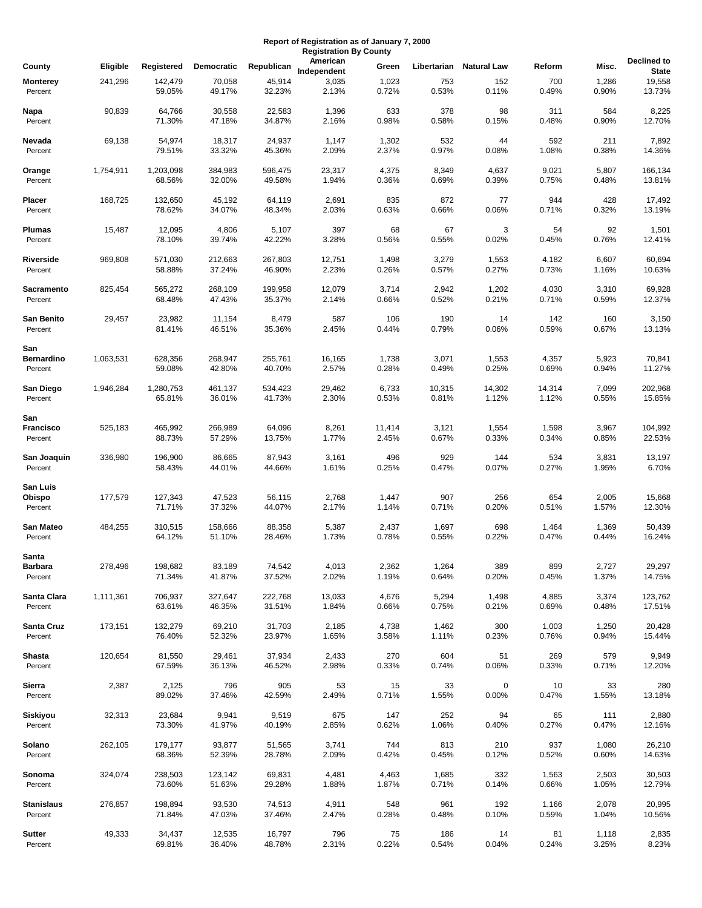## **Report of Registration as of January 7, 2000 Registration By County**

| County                      | Eligible  | Registered        | Democratic       | Republican       | American<br>Independent | Green          | Libertarian    | <b>Natural Law</b> | Reform       | Misc.          | Declined to<br><b>State</b> |
|-----------------------------|-----------|-------------------|------------------|------------------|-------------------------|----------------|----------------|--------------------|--------------|----------------|-----------------------------|
| Monterey                    | 241,296   | 142,479           | 70,058           | 45,914           | 3,035                   | 1,023          | 753            | 152                | 700          | 1,286          | 19,558                      |
| Percent                     |           | 59.05%            | 49.17%           | 32.23%           | 2.13%                   | 0.72%          | 0.53%          | 0.11%              | 0.49%        | 0.90%          | 13.73%                      |
| Napa                        | 90,839    | 64,766            | 30,558           | 22,583           | 1,396                   | 633            | 378            | 98                 | 311          | 584            | 8,225                       |
| Percent                     |           | 71.30%            | 47.18%           | 34.87%           | 2.16%                   | 0.98%          | 0.58%          | 0.15%              | 0.48%        | 0.90%          | 12.70%                      |
| Nevada                      | 69,138    | 54,974            | 18,317           | 24,937           | 1,147                   | 1,302          | 532            | 44                 | 592          | 211            | 7,892                       |
| Percent                     |           | 79.51%            | 33.32%           | 45.36%           | 2.09%                   | 2.37%          | 0.97%          | 0.08%              | 1.08%        | 0.38%          | 14.36%                      |
| Orange                      | 1,754,911 | 1,203,098         | 384,983          | 596,475          | 23,317                  | 4,375          | 8,349          | 4,637              | 9,021        | 5,807          | 166,134                     |
| Percent                     |           | 68.56%            | 32.00%           | 49.58%           | 1.94%                   | 0.36%          | 0.69%          | 0.39%              | 0.75%        | 0.48%          | 13.81%                      |
| Placer                      | 168,725   | 132,650           | 45,192           | 64,119           | 2,691                   | 835            | 872            | 77                 | 944          | 428            | 17,492                      |
| Percent                     |           | 78.62%            | 34.07%           | 48.34%           | 2.03%                   | 0.63%          | 0.66%          | 0.06%              | 0.71%        | 0.32%          | 13.19%                      |
| Plumas                      | 15,487    | 12,095            | 4,806            | 5,107            | 397                     | 68             | 67             | 3                  | 54           | 92             | 1,501                       |
| Percent                     |           | 78.10%            | 39.74%           | 42.22%           | 3.28%                   | 0.56%          | 0.55%          | 0.02%              | 0.45%        | 0.76%          | 12.41%                      |
| Riverside                   | 969,808   | 571,030           | 212,663          | 267,803          | 12,751                  | 1,498          | 3,279          | 1,553              | 4,182        | 6,607          | 60,694                      |
| Percent                     |           | 58.88%            | 37.24%           | 46.90%           | 2.23%                   | 0.26%          | 0.57%          | 0.27%              | 0.73%        | 1.16%          | 10.63%                      |
| Sacramento                  | 825,454   | 565,272           | 268,109          | 199,958          | 12,079                  | 3,714          | 2,942          | 1,202              | 4,030        | 3,310          | 69,928                      |
| Percent                     |           | 68.48%            | 47.43%           | 35.37%           | 2.14%                   | 0.66%          | 0.52%          | 0.21%              | 0.71%        | 0.59%          | 12.37%                      |
| San Benito                  | 29,457    | 23,982            | 11,154           | 8,479            | 587                     | 106            | 190            | 14                 | 142          | 160            | 3,150                       |
| Percent                     |           | 81.41%            | 46.51%           | 35.36%           | 2.45%                   | 0.44%          | 0.79%          | 0.06%              | 0.59%        | 0.67%          | 13.13%                      |
|                             |           |                   |                  |                  |                         |                |                |                    |              |                |                             |
| San                         |           |                   |                  |                  |                         |                |                |                    |              |                |                             |
| Bernardino                  | 1,063,531 | 628,356           | 268,947          | 255,761          | 16,165                  | 1,738          | 3,071          | 1,553              | 4,357        | 5,923          | 70,841                      |
| Percent                     |           | 59.08%            | 42.80%           | 40.70%           | 2.57%                   | 0.28%          | 0.49%          | 0.25%              | 0.69%        | 0.94%          | 11.27%                      |
| San Diego                   | 1,946,284 | 1,280,753         | 461,137          | 534,423          | 29,462                  | 6,733          | 10,315         | 14,302             | 14,314       | 7,099          | 202,968                     |
| Percent                     |           | 65.81%            | 36.01%           | 41.73%           | 2.30%                   | 0.53%          | 0.81%          | 1.12%              | 1.12%        | 0.55%          | 15.85%                      |
| San                         |           |                   |                  |                  |                         |                |                |                    |              |                |                             |
| Francisco                   | 525,183   | 465,992           | 266,989          | 64,096           | 8,261                   | 11,414         | 3,121          | 1,554              | 1,598        | 3,967          | 104,992                     |
| Percent                     |           | 88.73%            | 57.29%           | 13.75%           | 1.77%                   | 2.45%          | 0.67%          | 0.33%              | 0.34%        | 0.85%          | 22.53%                      |
| San Joaquin                 | 336,980   | 196,900           | 86,665           | 87,943           | 3,161                   | 496            | 929            | 144                | 534          | 3,831          | 13,197                      |
| Percent                     |           | 58.43%            | 44.01%           | 44.66%           | 1.61%                   | 0.25%          | 0.47%          | 0.07%              | 0.27%        | 1.95%          | 6.70%                       |
| San Luis                    |           |                   |                  |                  |                         |                |                |                    |              |                |                             |
| Obispo                      | 177,579   | 127,343           | 47,523           | 56,115           | 2,768                   | 1,447          | 907            | 256                | 654          | 2,005          | 15,668                      |
| Percent                     |           | 71.71%            | 37.32%           | 44.07%           | 2.17%                   | 1.14%          | 0.71%          | 0.20%              | 0.51%        | 1.57%          | 12.30%                      |
| San Mateo                   | 484,255   | 310,515           | 158,666          | 88,358           | 5,387                   | 2,437          | 1,697          | 698                | 1,464        | 1,369          | 50,439                      |
| Percent                     |           | 64.12%            | 51.10%           | 28.46%           | 1.73%                   | 0.78%          | 0.55%          | 0.22%              | 0.47%        | 0.44%          | 16.24%                      |
|                             |           |                   |                  |                  |                         |                |                |                    |              |                |                             |
| Santa<br>Barbara<br>Percent | 278,496   | 198,682<br>71.34% | 83,189<br>41.87% | 74,542<br>37.52% | 4,013<br>2.02%          | 2,362<br>1.19% | 1,264<br>0.64% | 389<br>0.20%       | 899<br>0.45% | 2,727<br>1.37% | 29,297<br>14.75%            |
|                             |           |                   |                  |                  |                         |                |                |                    |              |                |                             |
| Santa Clara                 | 1,111,361 | 706,937           | 327,647          | 222,768          | 13,033                  | 4,676          | 5,294          | 1,498              | 4,885        | 3,374          | 123,762                     |
| Percent                     |           | 63.61%            | 46.35%           | 31.51%           | 1.84%                   | 0.66%          | 0.75%          | 0.21%              | 0.69%        | 0.48%          | 17.51%                      |
| Santa Cruz                  | 173,151   | 132,279           | 69,210           | 31,703           | 2,185                   | 4,738          | 1,462          | 300                | 1,003        | 1,250          | 20,428                      |
| Percent                     |           | 76.40%            | 52.32%           | 23.97%           | 1.65%                   | 3.58%          | 1.11%          | 0.23%              | 0.76%        | 0.94%          | 15.44%                      |
| Shasta                      | 120,654   | 81,550            | 29,461           | 37,934           | 2,433                   | 270            | 604            | 51                 | 269          | 579            | 9,949                       |
| Percent                     |           | 67.59%            | 36.13%           | 46.52%           | 2.98%                   | 0.33%          | 0.74%          | 0.06%              | 0.33%        | 0.71%          | 12.20%                      |
| Sierra                      | 2,387     | 2,125             | 796              | 905              | 53                      | 15             | 33             | 0                  | 10           | 33             | 280                         |
| Percent                     |           | 89.02%            | 37.46%           | 42.59%           | 2.49%                   | 0.71%          | 1.55%          | 0.00%              | 0.47%        | 1.55%          | 13.18%                      |
| Siskiyou                    | 32,313    | 23,684            | 9,941            | 9,519            | 675                     | 147            | 252            | 94                 | 65           | 111            | 2,880                       |
| Percent                     |           | 73.30%            | 41.97%           | 40.19%           | 2.85%                   | 0.62%          | 1.06%          | 0.40%              | 0.27%        | 0.47%          | 12.16%                      |
| Solano                      | 262,105   | 179,177           | 93,877           | 51,565           | 3,741                   | 744            | 813            | 210                | 937          | 1,080          | 26,210                      |
| Percent                     |           | 68.36%            | 52.39%           | 28.78%           | 2.09%                   | 0.42%          | 0.45%          | 0.12%              | 0.52%        | 0.60%          | 14.63%                      |
| Sonoma                      | 324,074   | 238,503           | 123,142          | 69,831           | 4,481                   | 4,463          | 1,685          | 332                | 1,563        | 2,503          | 30,503                      |
| Percent                     |           | 73.60%            | 51.63%           | 29.28%           | 1.88%                   | 1.87%          | 0.71%          | 0.14%              | 0.66%        | 1.05%          | 12.79%                      |
| Stanislaus                  | 276,857   | 198,894           | 93,530           | 74,513           | 4,911                   | 548            | 961            | 192                | 1,166        | 2,078          | 20,995                      |
| Percent                     |           | 71.84%            | 47.03%           | 37.46%           | 2.47%                   | 0.28%          | 0.48%          | 0.10%              | 0.59%        | 1.04%          | 10.56%                      |
| Sutter                      | 49,333    | 34,437            | 12,535           | 16,797           | 796                     | 75             | 186            | 14                 | 81           | 1,118          | 2,835                       |
| Percent                     |           | 69.81%            | 36.40%           | 48.78%           | 2.31%                   | 0.22%          | 0.54%          | 0.04%              | 0.24%        | 3.25%          | 8.23%                       |